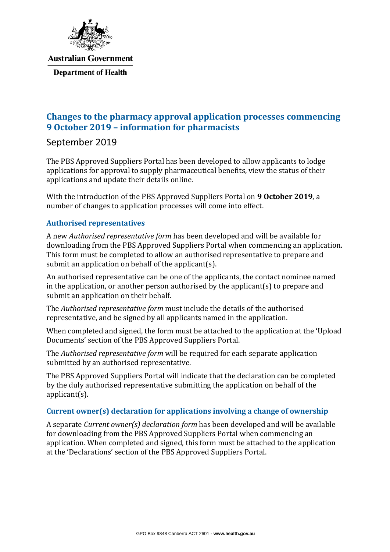

# **Australian Government**

**Department of Health** 

# **Changes to the pharmacy approval application processes commencing 9 October 2019 – information for pharmacists**

## September 2019

The PBS Approved Suppliers Portal has been developed to allow applicants to lodge applications for approval to supply pharmaceutical benefits, view the status of their applications and update their details online.

With the introduction of the PBS Approved Suppliers Portal on **9 October 2019**, a number of changes to application processes will come into effect.

## **Authorised representatives**

A new *Authorised representative form* has been developed and will be available for downloading from the PBS Approved Suppliers Portal when commencing an application. This form must be completed to allow an authorised representative to prepare and submit an application on behalf of the applicant(s).

An authorised representative can be one of the applicants, the contact nominee named in the application, or another person authorised by the applicant(s) to prepare and submit an application on their behalf.

The *Authorised representative form* must include the details of the authorised representative, and be signed by all applicants named in the application.

When completed and signed, the form must be attached to the application at the 'Upload Documents' section of the PBS Approved Suppliers Portal.

The *Authorised representative form* will be required for each separate application submitted by an authorised representative.

The PBS Approved Suppliers Portal will indicate that the declaration can be completed by the duly authorised representative submitting the application on behalf of the applicant(s).

### **Current owner(s) declaration for applications involving a change of ownership**

A separate *Current owner(s) declaration form* has been developed and will be available for downloading from the PBS Approved Suppliers Portal when commencing an application. When completed and signed, this form must be attached to the application at the 'Declarations' section of the PBS Approved Suppliers Portal.